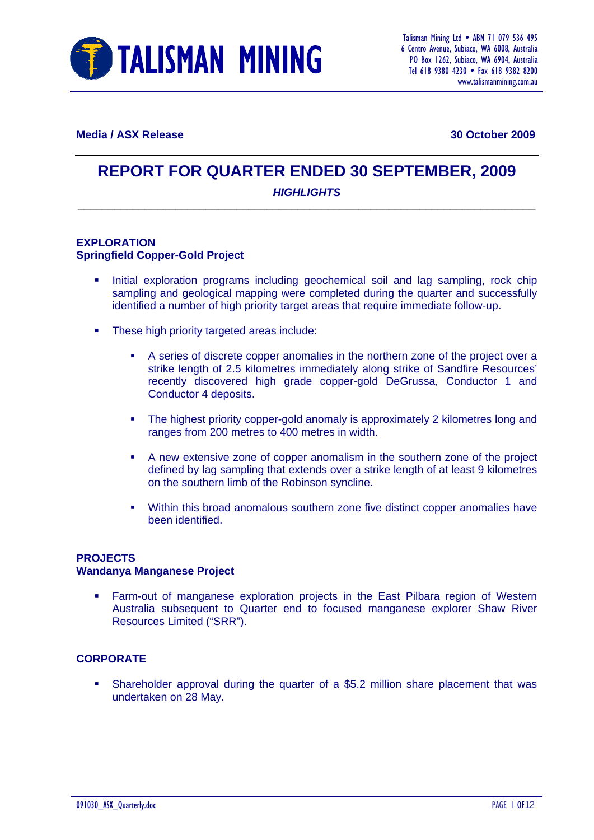

**Media / ASX Release 30 October 2009** 

# **REPORT FOR QUARTER ENDED 30 SEPTEMBER, 2009**

#### *HIGHLIGHTS*  **\_\_\_\_\_\_\_\_\_\_\_\_\_\_\_\_\_\_\_\_\_\_\_\_\_\_\_\_\_\_\_\_\_\_\_\_\_\_\_\_\_\_\_\_\_\_\_\_\_\_\_\_\_\_\_\_\_\_\_\_\_\_\_\_\_\_\_\_\_\_\_\_\_\_\_**

#### **EXPLORATION Springfield Copper-Gold Project**

- Initial exploration programs including geochemical soil and lag sampling, rock chip sampling and geological mapping were completed during the quarter and successfully identified a number of high priority target areas that require immediate follow-up.
- **These high priority targeted areas include:** 
	- A series of discrete copper anomalies in the northern zone of the project over a strike length of 2.5 kilometres immediately along strike of Sandfire Resources' recently discovered high grade copper-gold DeGrussa, Conductor 1 and Conductor 4 deposits.
	- The highest priority copper-gold anomaly is approximately 2 kilometres long and ranges from 200 metres to 400 metres in width.
	- A new extensive zone of copper anomalism in the southern zone of the project defined by lag sampling that extends over a strike length of at least 9 kilometres on the southern limb of the Robinson syncline.
	- Within this broad anomalous southern zone five distinct copper anomalies have been identified.

#### **PROJECTS**

#### **Wandanya Manganese Project**

 Farm-out of manganese exploration projects in the East Pilbara region of Western Australia subsequent to Quarter end to focused manganese explorer Shaw River Resources Limited ("SRR").

#### **CORPORATE**

 Shareholder approval during the quarter of a \$5.2 million share placement that was undertaken on 28 May.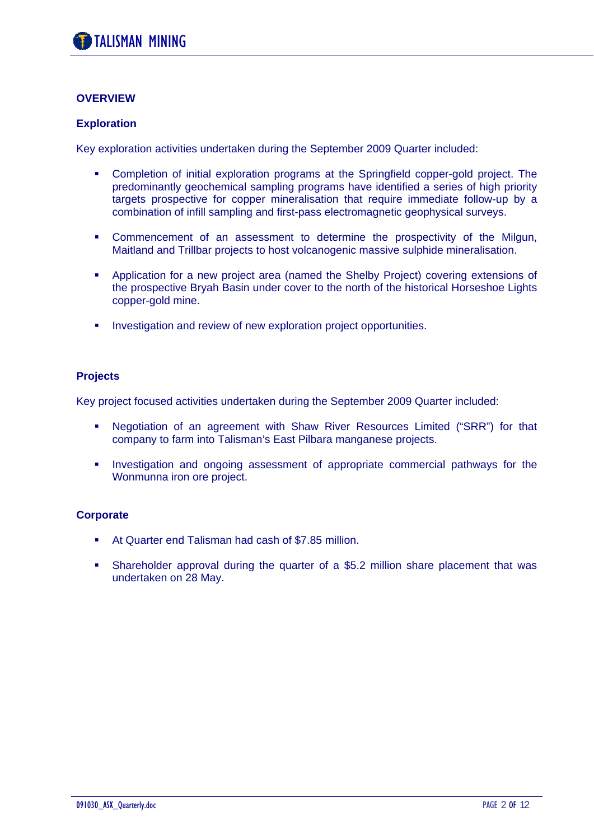#### **OVERVIEW**

#### **Exploration**

Key exploration activities undertaken during the September 2009 Quarter included:

- Completion of initial exploration programs at the Springfield copper-gold project. The predominantly geochemical sampling programs have identified a series of high priority targets prospective for copper mineralisation that require immediate follow-up by a combination of infill sampling and first-pass electromagnetic geophysical surveys.
- Commencement of an assessment to determine the prospectivity of the Milgun, Maitland and Trillbar projects to host volcanogenic massive sulphide mineralisation.
- Application for a new project area (named the Shelby Project) covering extensions of the prospective Bryah Basin under cover to the north of the historical Horseshoe Lights copper-gold mine.
- **Investigation and review of new exploration project opportunities.**

#### **Projects**

Key project focused activities undertaken during the September 2009 Quarter included:

- Negotiation of an agreement with Shaw River Resources Limited ("SRR") for that company to farm into Talisman's East Pilbara manganese projects.
- **Investigation and ongoing assessment of appropriate commercial pathways for the** Wonmunna iron ore project.

#### **Corporate**

- At Quarter end Talisman had cash of \$7.85 million.
- Shareholder approval during the quarter of a \$5.2 million share placement that was undertaken on 28 May.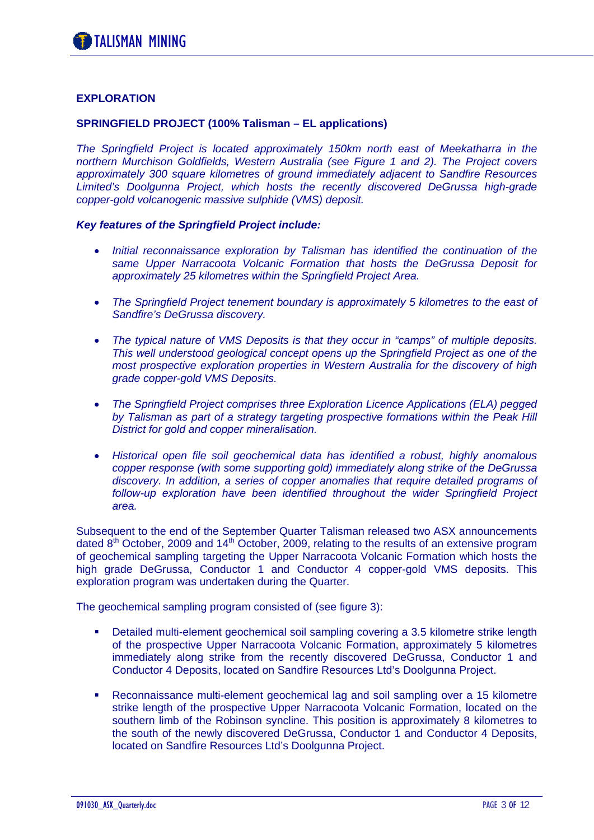#### **EXPLORATION**

#### **SPRINGFIELD PROJECT (100% Talisman – EL applications)**

*The Springfield Project is located approximately 150km north east of Meekatharra in the northern Murchison Goldfields, Western Australia (see Figure 1 and 2). The Project covers approximately 300 square kilometres of ground immediately adjacent to Sandfire Resources Limited's Doolgunna Project, which hosts the recently discovered DeGrussa high-grade copper-gold volcanogenic massive sulphide (VMS) deposit.* 

#### *Key features of the Springfield Project include:*

- *Initial reconnaissance exploration by Talisman has identified the continuation of the same Upper Narracoota Volcanic Formation that hosts the DeGrussa Deposit for approximately 25 kilometres within the Springfield Project Area.*
- *The Springfield Project tenement boundary is approximately 5 kilometres to the east of Sandfire's DeGrussa discovery.*
- *The typical nature of VMS Deposits is that they occur in "camps" of multiple deposits. This well understood geological concept opens up the Springfield Project as one of the most prospective exploration properties in Western Australia for the discovery of high grade copper-gold VMS Deposits.*
- *The Springfield Project comprises three Exploration Licence Applications (ELA) pegged*  by Talisman as part of a strategy targeting prospective formations within the Peak Hill *District for gold and copper mineralisation.*
- *Historical open file soil geochemical data has identified a robust, highly anomalous copper response (with some supporting gold) immediately along strike of the DeGrussa discovery. In addition, a series of copper anomalies that require detailed programs of follow-up exploration have been identified throughout the wider Springfield Project area.*

Subsequent to the end of the September Quarter Talisman released two ASX announcements dated  $8<sup>th</sup>$  October, 2009 and 14<sup>th</sup> October, 2009, relating to the results of an extensive program of geochemical sampling targeting the Upper Narracoota Volcanic Formation which hosts the high grade DeGrussa, Conductor 1 and Conductor 4 copper-gold VMS deposits. This exploration program was undertaken during the Quarter.

The geochemical sampling program consisted of (see figure 3):

- Detailed multi-element geochemical soil sampling covering a 3.5 kilometre strike length of the prospective Upper Narracoota Volcanic Formation, approximately 5 kilometres immediately along strike from the recently discovered DeGrussa, Conductor 1 and Conductor 4 Deposits, located on Sandfire Resources Ltd's Doolgunna Project.
- Reconnaissance multi-element geochemical lag and soil sampling over a 15 kilometre strike length of the prospective Upper Narracoota Volcanic Formation, located on the southern limb of the Robinson syncline. This position is approximately 8 kilometres to the south of the newly discovered DeGrussa, Conductor 1 and Conductor 4 Deposits, located on Sandfire Resources Ltd's Doolgunna Project.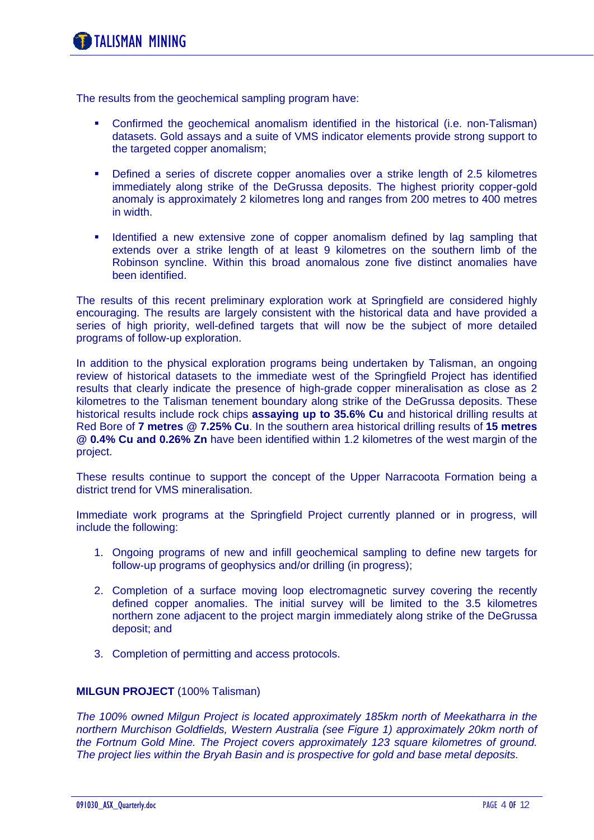The results from the geochemical sampling program have:

- Confirmed the geochemical anomalism identified in the historical (i.e. non-Talisman) datasets. Gold assays and a suite of VMS indicator elements provide strong support to the targeted copper anomalism;
- Defined a series of discrete copper anomalies over a strike length of 2.5 kilometres immediately along strike of the DeGrussa deposits. The highest priority copper-gold anomaly is approximately 2 kilometres long and ranges from 200 metres to 400 metres in width.
- Identified a new extensive zone of copper anomalism defined by lag sampling that extends over a strike length of at least 9 kilometres on the southern limb of the Robinson syncline. Within this broad anomalous zone five distinct anomalies have been identified.

The results of this recent preliminary exploration work at Springfield are considered highly encouraging. The results are largely consistent with the historical data and have provided a series of high priority, well-defined targets that will now be the subject of more detailed programs of follow-up exploration.

In addition to the physical exploration programs being undertaken by Talisman, an ongoing review of historical datasets to the immediate west of the Springfield Project has identified results that clearly indicate the presence of high-grade copper mineralisation as close as 2 kilometres to the Talisman tenement boundary along strike of the DeGrussa deposits. These historical results include rock chips **assaying up to 35.6% Cu** and historical drilling results at Red Bore of **7 metres @ 7.25% Cu**. In the southern area historical drilling results of **15 metres @ 0.4% Cu and 0.26% Zn** have been identified within 1.2 kilometres of the west margin of the project.

These results continue to support the concept of the Upper Narracoota Formation being a district trend for VMS mineralisation.

Immediate work programs at the Springfield Project currently planned or in progress, will include the following:

- 1. Ongoing programs of new and infill geochemical sampling to define new targets for follow-up programs of geophysics and/or drilling (in progress);
- 2. Completion of a surface moving loop electromagnetic survey covering the recently defined copper anomalies. The initial survey will be limited to the 3.5 kilometres northern zone adjacent to the project margin immediately along strike of the DeGrussa deposit; and
- 3. Completion of permitting and access protocols.

#### **MILGUN PROJECT** (100% Talisman)

*The 100% owned Milgun Project is located approximately 185km north of Meekatharra in the northern Murchison Goldfields, Western Australia (see Figure 1) approximately 20km north of the Fortnum Gold Mine. The Project covers approximately 123 square kilometres of ground. The project lies within the Bryah Basin and is prospective for gold and base metal deposits.*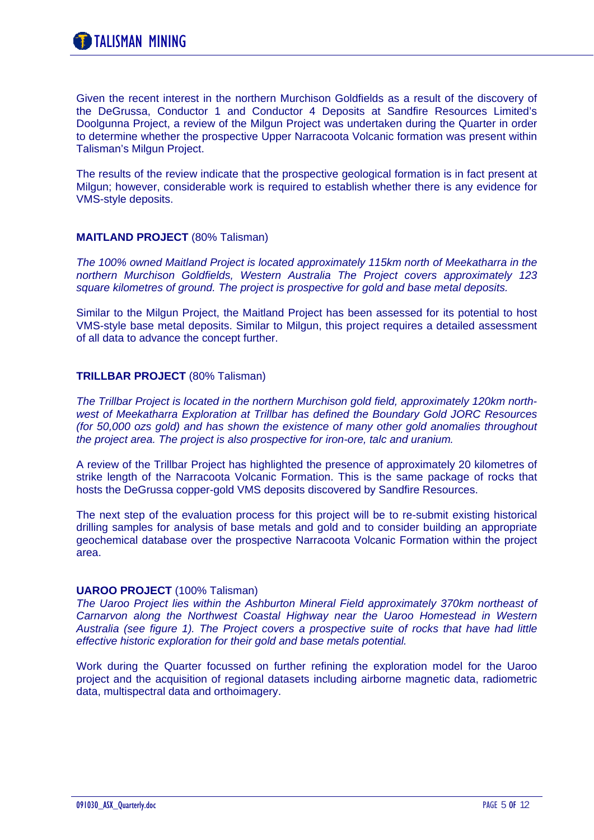Given the recent interest in the northern Murchison Goldfields as a result of the discovery of the DeGrussa, Conductor 1 and Conductor 4 Deposits at Sandfire Resources Limited's Doolgunna Project, a review of the Milgun Project was undertaken during the Quarter in order to determine whether the prospective Upper Narracoota Volcanic formation was present within Talisman's Milgun Project.

The results of the review indicate that the prospective geological formation is in fact present at Milgun; however, considerable work is required to establish whether there is any evidence for VMS-style deposits.

#### **MAITLAND PROJECT** (80% Talisman)

*The 100% owned Maitland Project is located approximately 115km north of Meekatharra in the northern Murchison Goldfields, Western Australia The Project covers approximately 123 square kilometres of ground. The project is prospective for gold and base metal deposits.* 

Similar to the Milgun Project, the Maitland Project has been assessed for its potential to host VMS-style base metal deposits. Similar to Milgun, this project requires a detailed assessment of all data to advance the concept further.

#### **TRILLBAR PROJECT** (80% Talisman)

*The Trillbar Project is located in the northern Murchison gold field, approximately 120km northwest of Meekatharra Exploration at Trillbar has defined the Boundary Gold JORC Resources (for 50,000 ozs gold) and has shown the existence of many other gold anomalies throughout the project area. The project is also prospective for iron-ore, talc and uranium.* 

A review of the Trillbar Project has highlighted the presence of approximately 20 kilometres of strike length of the Narracoota Volcanic Formation. This is the same package of rocks that hosts the DeGrussa copper-gold VMS deposits discovered by Sandfire Resources.

The next step of the evaluation process for this project will be to re-submit existing historical drilling samples for analysis of base metals and gold and to consider building an appropriate geochemical database over the prospective Narracoota Volcanic Formation within the project area.

#### **UAROO PROJECT** (100% Talisman)

*The Uaroo Project lies within the Ashburton Mineral Field approximately 370km northeast of Carnarvon along the Northwest Coastal Highway near the Uaroo Homestead in Western Australia (see figure 1). The Project covers a prospective suite of rocks that have had little effective historic exploration for their gold and base metals potential.* 

Work during the Quarter focussed on further refining the exploration model for the Uaroo project and the acquisition of regional datasets including airborne magnetic data, radiometric data, multispectral data and orthoimagery.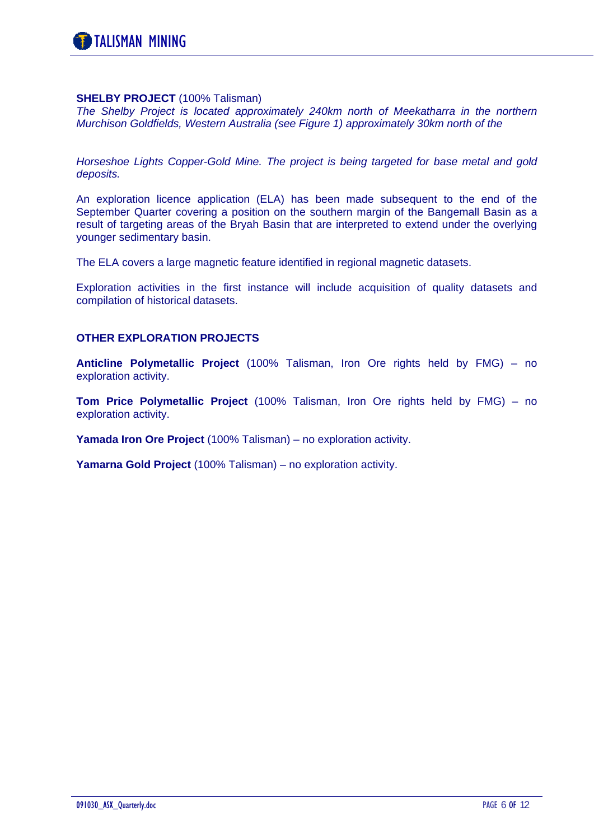#### **SHELBY PROJECT** (100% Talisman)

*The Shelby Project is located approximately 240km north of Meekatharra in the northern Murchison Goldfields, Western Australia (see Figure 1) approximately 30km north of the* 

*Horseshoe Lights Copper-Gold Mine. The project is being targeted for base metal and gold deposits.* 

An exploration licence application (ELA) has been made subsequent to the end of the September Quarter covering a position on the southern margin of the Bangemall Basin as a result of targeting areas of the Bryah Basin that are interpreted to extend under the overlying younger sedimentary basin.

The ELA covers a large magnetic feature identified in regional magnetic datasets.

Exploration activities in the first instance will include acquisition of quality datasets and compilation of historical datasets.

#### **OTHER EXPLORATION PROJECTS**

**Anticline Polymetallic Project** (100% Talisman, Iron Ore rights held by FMG) – no exploration activity.

**Tom Price Polymetallic Project** (100% Talisman, Iron Ore rights held by FMG) – no exploration activity.

**Yamada Iron Ore Project** (100% Talisman) – no exploration activity.

**Yamarna Gold Project** (100% Talisman) – no exploration activity.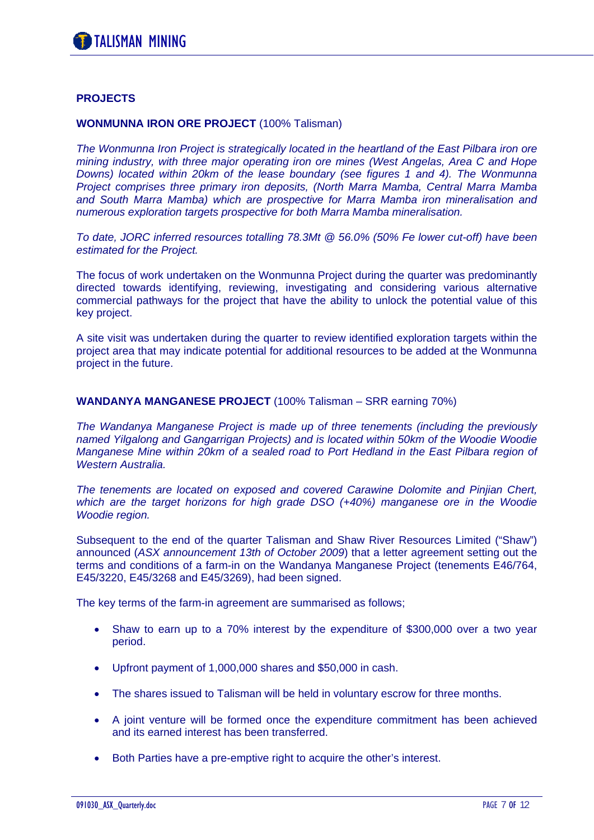#### **PROJECTS**

#### **WONMUNNA IRON ORE PROJECT** (100% Talisman)

*The Wonmunna Iron Project is strategically located in the heartland of the East Pilbara iron ore mining industry, with three major operating iron ore mines (West Angelas, Area C and Hope Downs) located within 20km of the lease boundary (see figures 1 and 4). The Wonmunna Project comprises three primary iron deposits, (North Marra Mamba, Central Marra Mamba and South Marra Mamba) which are prospective for Marra Mamba iron mineralisation and numerous exploration targets prospective for both Marra Mamba mineralisation.* 

*To date, JORC inferred resources totalling 78.3Mt @ 56.0% (50% Fe lower cut-off) have been estimated for the Project.* 

The focus of work undertaken on the Wonmunna Project during the quarter was predominantly directed towards identifying, reviewing, investigating and considering various alternative commercial pathways for the project that have the ability to unlock the potential value of this key project.

A site visit was undertaken during the quarter to review identified exploration targets within the project area that may indicate potential for additional resources to be added at the Wonmunna project in the future.

#### **WANDANYA MANGANESE PROJECT** (100% Talisman – SRR earning 70%)

*The Wandanya Manganese Project is made up of three tenements (including the previously named Yilgalong and Gangarrigan Projects) and is located within 50km of the Woodie Woodie Manganese Mine within 20km of a sealed road to Port Hedland in the East Pilbara region of Western Australia.* 

*The tenements are located on exposed and covered Carawine Dolomite and Pinjian Chert, which are the target horizons for high grade DSO (+40%) manganese ore in the Woodie Woodie region.* 

Subsequent to the end of the quarter Talisman and Shaw River Resources Limited ("Shaw") announced (*ASX announcement 13th of October 2009*) that a letter agreement setting out the terms and conditions of a farm-in on the Wandanya Manganese Project (tenements E46/764, E45/3220, E45/3268 and E45/3269), had been signed.

The key terms of the farm-in agreement are summarised as follows;

- Shaw to earn up to a 70% interest by the expenditure of \$300,000 over a two year period.
- Upfront payment of 1,000,000 shares and \$50,000 in cash.
- The shares issued to Talisman will be held in voluntary escrow for three months.
- A joint venture will be formed once the expenditure commitment has been achieved and its earned interest has been transferred.
- Both Parties have a pre-emptive right to acquire the other's interest.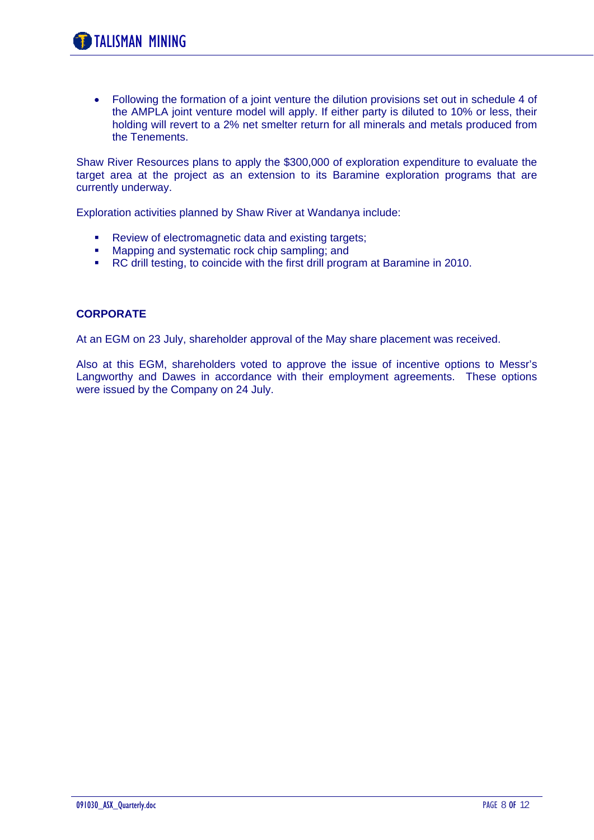• Following the formation of a joint venture the dilution provisions set out in schedule 4 of the AMPLA joint venture model will apply. If either party is diluted to 10% or less, their holding will revert to a 2% net smelter return for all minerals and metals produced from the Tenements.

Shaw River Resources plans to apply the \$300,000 of exploration expenditure to evaluate the target area at the project as an extension to its Baramine exploration programs that are currently underway.

Exploration activities planned by Shaw River at Wandanya include:

- Review of electromagnetic data and existing targets;
- **Mapping and systematic rock chip sampling; and**
- RC drill testing, to coincide with the first drill program at Baramine in 2010.

#### **CORPORATE**

At an EGM on 23 July, shareholder approval of the May share placement was received.

Also at this EGM, shareholders voted to approve the issue of incentive options to Messr's Langworthy and Dawes in accordance with their employment agreements. These options were issued by the Company on 24 July.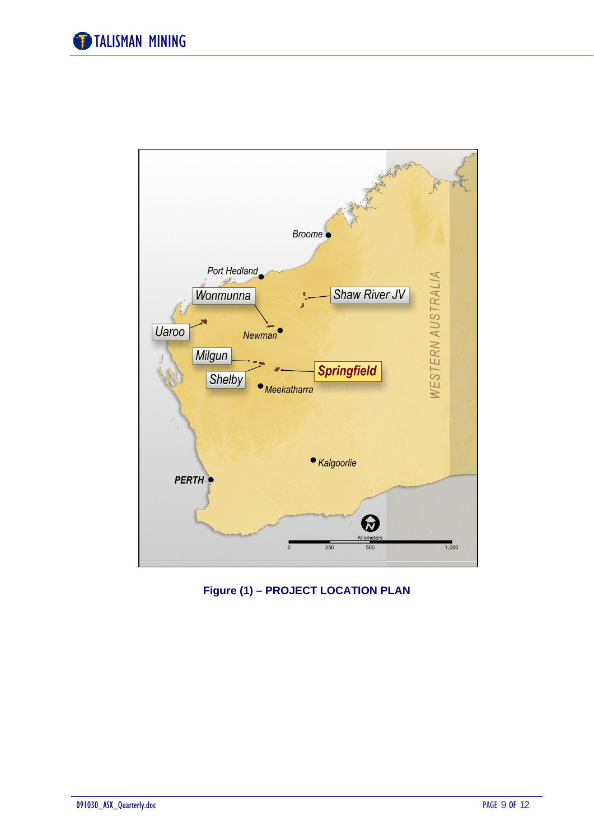

**Figure (1) – PROJECT LOCATION PLAN**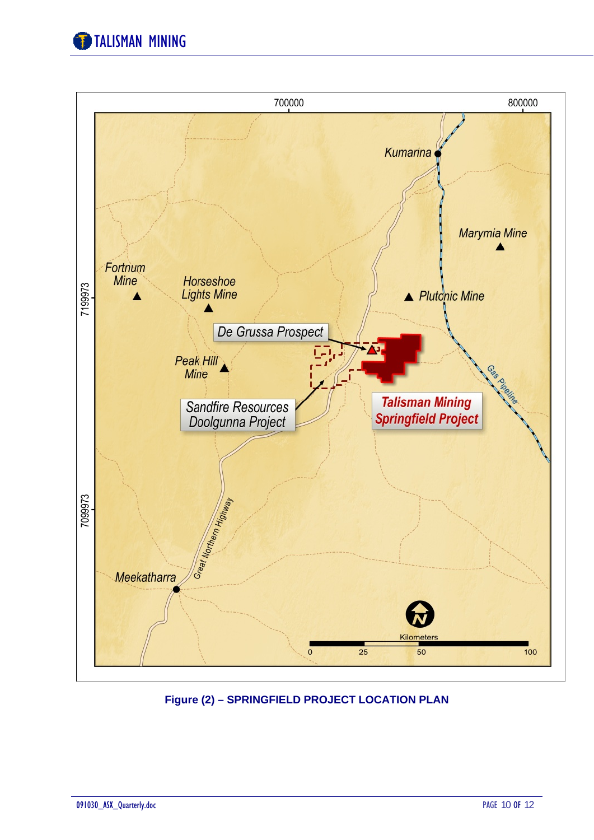



**Figure (2) – SPRINGFIELD PROJECT LOCATION PLAN**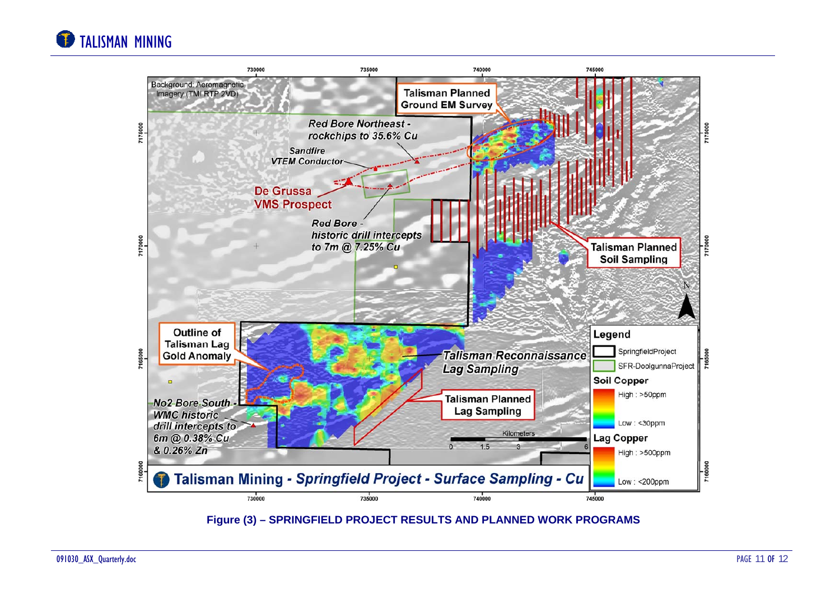# TALISMAN MINING



**Figure (3) – SPRINGFIELD PROJECT RESULTS AND PLANNED WORK PROGRAMS**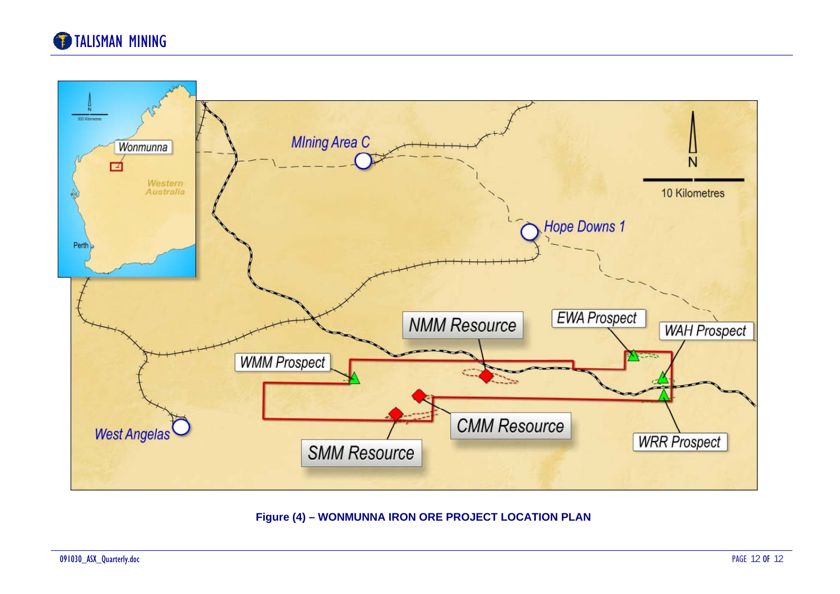# **TALISMAN MINING**



### **Figure (4) – WONMUNNA IRON ORE PROJECT LOCATION PLAN**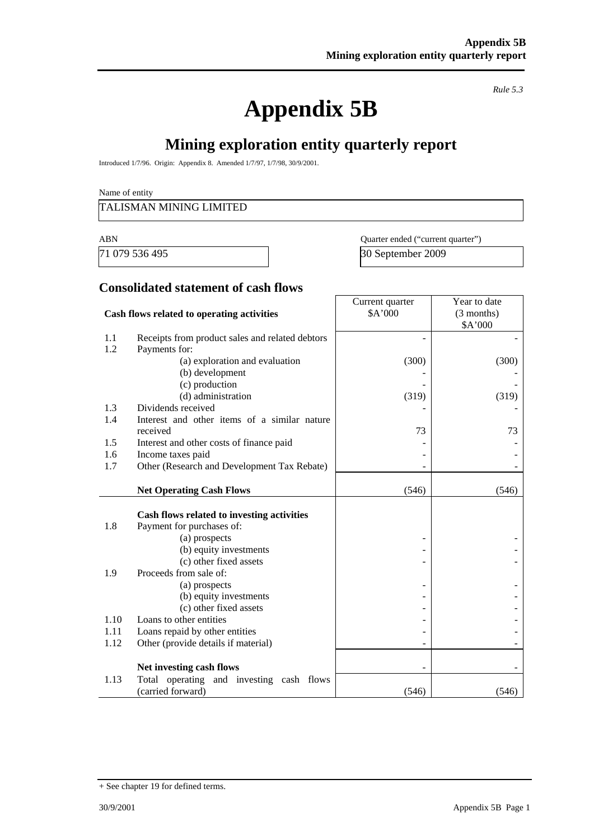# **Appendix 5B**

*Rule 5.3* 

## **Mining exploration entity quarterly report**

Introduced 1/7/96. Origin: Appendix 8. Amended 1/7/97, 1/7/98, 30/9/2001.

Name of entity

#### TALISMAN MINING LIMITED

71 079 536 495 30 September 2009

ABN Quarter ended ("current quarter")

### **Consolidated statement of cash flows**

| Cash flows related to operating activities |                                                                  | Current quarter<br>\$A'000 | Year to date<br>(3 months) |  |
|--------------------------------------------|------------------------------------------------------------------|----------------------------|----------------------------|--|
| 1.1                                        | Receipts from product sales and related debtors                  |                            | \$A'000                    |  |
| 1.2                                        | Payments for:                                                    |                            |                            |  |
|                                            | (a) exploration and evaluation                                   | (300)                      | (300)                      |  |
|                                            | (b) development                                                  |                            |                            |  |
|                                            | (c) production                                                   |                            |                            |  |
|                                            | (d) administration                                               | (319)                      | (319)                      |  |
| 1.3                                        | Dividends received                                               |                            |                            |  |
| 1.4                                        | Interest and other items of a similar nature                     |                            |                            |  |
|                                            | received                                                         | 73                         | 73                         |  |
| 1.5                                        | Interest and other costs of finance paid                         |                            |                            |  |
| 1.6<br>1.7                                 | Income taxes paid<br>Other (Research and Development Tax Rebate) |                            |                            |  |
|                                            |                                                                  |                            |                            |  |
|                                            | <b>Net Operating Cash Flows</b>                                  | (546)                      | (546)                      |  |
|                                            |                                                                  |                            |                            |  |
|                                            | Cash flows related to investing activities                       |                            |                            |  |
| 1.8                                        | Payment for purchases of:                                        |                            |                            |  |
|                                            | (a) prospects                                                    |                            |                            |  |
|                                            | (b) equity investments<br>(c) other fixed assets                 |                            |                            |  |
| 1.9                                        | Proceeds from sale of:                                           |                            |                            |  |
|                                            | (a) prospects                                                    |                            |                            |  |
|                                            | (b) equity investments                                           |                            |                            |  |
|                                            | (c) other fixed assets                                           |                            |                            |  |
| 1.10                                       | Loans to other entities                                          |                            |                            |  |
| 1.11                                       | Loans repaid by other entities                                   |                            |                            |  |
| 1.12                                       | Other (provide details if material)                              |                            |                            |  |
|                                            | Net investing cash flows                                         |                            |                            |  |
| 1.13                                       | Total operating and investing cash flows                         |                            |                            |  |
|                                            | (carried forward)                                                | (546)                      | (546)                      |  |

<sup>+</sup> See chapter 19 for defined terms.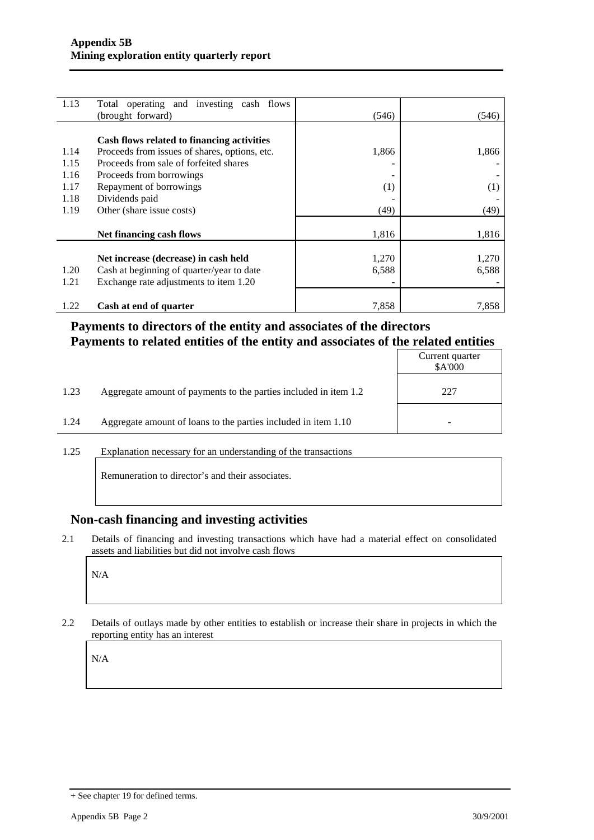| 1.13 | Total operating and investing cash flows      |       |       |
|------|-----------------------------------------------|-------|-------|
|      | (brought forward)                             | (546) | (546) |
|      |                                               |       |       |
|      | Cash flows related to financing activities    |       |       |
| 1.14 | Proceeds from issues of shares, options, etc. | 1,866 | 1,866 |
| 1.15 | Proceeds from sale of forfeited shares        |       |       |
| 1.16 | Proceeds from borrowings                      |       |       |
| 1.17 | Repayment of borrowings                       | (1)   | (1)   |
| 1.18 | Dividends paid                                |       |       |
| 1.19 | Other (share issue costs)                     | (49)  | (49)  |
|      |                                               |       |       |
|      | Net financing cash flows                      | 1,816 | 1,816 |
|      |                                               |       |       |
|      | Net increase (decrease) in cash held          | 1,270 | 1,270 |
| 1.20 | Cash at beginning of quarter/year to date     | 6,588 | 6,588 |
| 1.21 | Exchange rate adjustments to item 1.20        |       |       |
|      |                                               |       |       |
| 1.22 | Cash at end of quarter                        | 7,858 | 7,858 |

## **Payments to directors of the entity and associates of the directors Payments to related entities of the entity and associates of the related entities**

|      |                                                                  | Current quarter<br>\$A'000 |
|------|------------------------------------------------------------------|----------------------------|
| 1.23 | Aggregate amount of payments to the parties included in item 1.2 | 227                        |
| 1.24 | Aggregate amount of loans to the parties included in item 1.10   | -                          |

1.25 Explanation necessary for an understanding of the transactions

Remuneration to director's and their associates.

### **Non-cash financing and investing activities**

2.1 Details of financing and investing transactions which have had a material effect on consolidated assets and liabilities but did not involve cash flows

N/A

2.2 Details of outlays made by other entities to establish or increase their share in projects in which the reporting entity has an interest

N/A

<sup>+</sup> See chapter 19 for defined terms.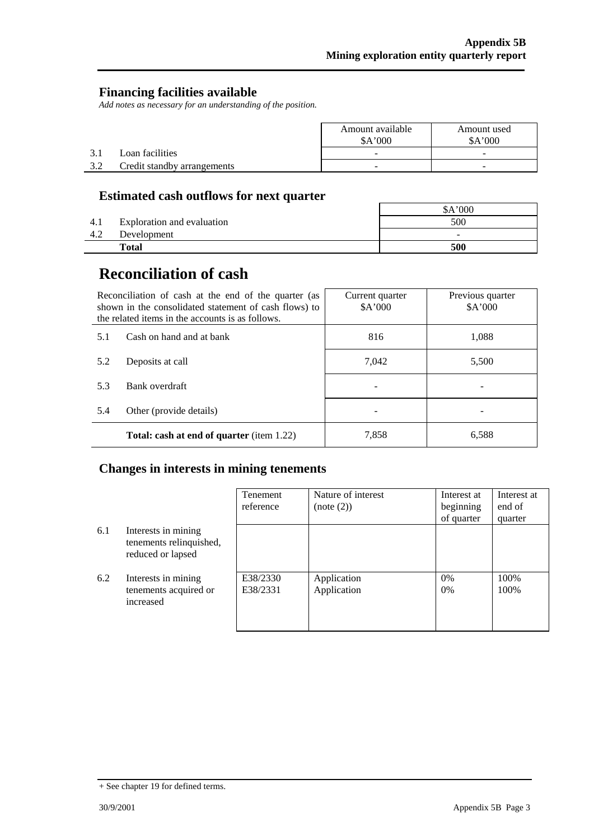### **Financing facilities available**

*Add notes as necessary for an understanding of the position.* 

|     |                             | Amount available<br>A'000 | Amount used<br>A'000 |
|-----|-----------------------------|---------------------------|----------------------|
|     | Loan facilities             | -                         | -                    |
| 3.2 | Credit standby arrangements | $\overline{\phantom{0}}$  | -                    |

## **Estimated cash outflows for next quarter**

|      |                            | 000'<br>SΑ'              |
|------|----------------------------|--------------------------|
| 4. I | Exploration and evaluation | 500                      |
| 4.2  | Development                | $\overline{\phantom{a}}$ |
|      | <b>Total</b>               | 500                      |

## **Reconciliation of cash**

|                                | Reconciliation of cash at the end of the quarter (as<br>shown in the consolidated statement of cash flows) to<br>the related items in the accounts is as follows. | Current quarter<br>A'000 | Previous quarter<br>\$A'000 |
|--------------------------------|-------------------------------------------------------------------------------------------------------------------------------------------------------------------|--------------------------|-----------------------------|
| 5.1                            | Cash on hand and at bank                                                                                                                                          | 816                      | 1,088                       |
| 5.2                            | Deposits at call                                                                                                                                                  | 7.042                    | 5,500                       |
| 5.3                            | Bank overdraft                                                                                                                                                    |                          |                             |
| 5.4<br>Other (provide details) |                                                                                                                                                                   |                          |                             |
|                                | <b>Total: cash at end of quarter</b> (item 1.22)                                                                                                                  | 7,858                    | 6,588                       |

## **Changes in interests in mining tenements**

|     |                                                                     | Tenement<br>reference | Nature of interest<br>(note (2)) | Interest at<br>beginning<br>of quarter | Interest at<br>end of<br>quarter |
|-----|---------------------------------------------------------------------|-----------------------|----------------------------------|----------------------------------------|----------------------------------|
| 6.1 | Interests in mining<br>tenements relinquished,<br>reduced or lapsed |                       |                                  |                                        |                                  |
| 6.2 | Interests in mining<br>tenements acquired or<br>increased           | E38/2330<br>E38/2331  | Application<br>Application       | $0\%$<br>$0\%$                         | 100%<br>100%                     |

<sup>+</sup> See chapter 19 for defined terms.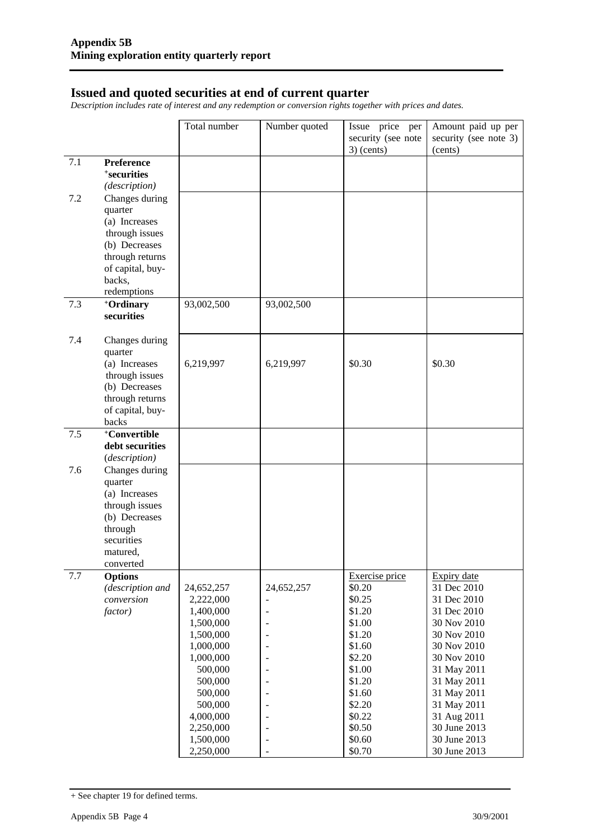#### **Issued and quoted securities at end of current quarter**

*Description includes rate of interest and any redemption or conversion rights together with prices and dates.* 

|         |                                 | Total number           | Number quoted                    | Issue price per    | Amount paid up per         |
|---------|---------------------------------|------------------------|----------------------------------|--------------------|----------------------------|
|         |                                 |                        |                                  | security (see note | security (see note 3)      |
|         |                                 |                        |                                  | $3)$ (cents)       | (cents)                    |
| 7.1     | Preference                      |                        |                                  |                    |                            |
|         | <sup>+</sup> securities         |                        |                                  |                    |                            |
|         | (description)                   |                        |                                  |                    |                            |
| 7.2     | Changes during                  |                        |                                  |                    |                            |
|         | quarter                         |                        |                                  |                    |                            |
|         | (a) Increases                   |                        |                                  |                    |                            |
|         | through issues<br>(b) Decreases |                        |                                  |                    |                            |
|         | through returns                 |                        |                                  |                    |                            |
|         | of capital, buy-                |                        |                                  |                    |                            |
|         | backs,                          |                        |                                  |                    |                            |
|         | redemptions                     |                        |                                  |                    |                            |
| 7.3     | +Ordinary                       | 93,002,500             | 93,002,500                       |                    |                            |
|         | securities                      |                        |                                  |                    |                            |
|         |                                 |                        |                                  |                    |                            |
| 7.4     | Changes during                  |                        |                                  |                    |                            |
|         | quarter                         |                        |                                  |                    |                            |
|         | (a) Increases<br>through issues | 6,219,997              | 6,219,997                        | \$0.30             | \$0.30                     |
|         | (b) Decreases                   |                        |                                  |                    |                            |
|         | through returns                 |                        |                                  |                    |                            |
|         | of capital, buy-                |                        |                                  |                    |                            |
|         | backs                           |                        |                                  |                    |                            |
| 7.5     | +Convertible                    |                        |                                  |                    |                            |
|         | debt securities                 |                        |                                  |                    |                            |
|         | (description)                   |                        |                                  |                    |                            |
| 7.6     | Changes during                  |                        |                                  |                    |                            |
|         | quarter                         |                        |                                  |                    |                            |
|         | (a) Increases                   |                        |                                  |                    |                            |
|         | through issues<br>(b) Decreases |                        |                                  |                    |                            |
|         | through                         |                        |                                  |                    |                            |
|         | securities                      |                        |                                  |                    |                            |
|         | matured,                        |                        |                                  |                    |                            |
|         | converted                       |                        |                                  |                    |                            |
| $7.7\,$ | <b>Options</b>                  |                        |                                  | Exercise price     | Expiry date                |
|         | (description and                | 24,652,257             | 24,652,257                       | \$0.20             | 31 Dec 2010                |
|         | conversion                      | 2,222,000              |                                  | \$0.25             | 31 Dec 2010                |
|         | factor)                         | 1,400,000              | $\blacksquare$                   | \$1.20<br>\$1.00   | 31 Dec 2010<br>30 Nov 2010 |
|         |                                 | 1,500,000<br>1,500,000 | $\blacksquare$<br>$\blacksquare$ | \$1.20             | 30 Nov 2010                |
|         |                                 | 1,000,000              | $\blacksquare$                   | \$1.60             | 30 Nov 2010                |
|         |                                 | 1,000,000              | $\overline{\phantom{a}}$         | \$2.20             | 30 Nov 2010                |
|         |                                 | 500,000                | $\overline{\phantom{0}}$         | \$1.00             | 31 May 2011                |
|         |                                 | 500,000                | $\overline{a}$                   | \$1.20             | 31 May 2011                |
|         |                                 | 500,000                | $\overline{a}$                   | \$1.60             | 31 May 2011                |
|         |                                 | 500,000                | $\overline{a}$                   | \$2.20             | 31 May 2011                |
|         |                                 | 4,000,000              | $\qquad \qquad \blacksquare$     | \$0.22             | 31 Aug 2011                |
|         |                                 | 2,250,000              | $\blacksquare$                   | \$0.50             | 30 June 2013               |
|         |                                 | 1,500,000              | $\overline{\phantom{a}}$         | \$0.60             | 30 June 2013               |
|         |                                 | 2,250,000              |                                  | \$0.70             | 30 June 2013               |

<sup>+</sup> See chapter 19 for defined terms.